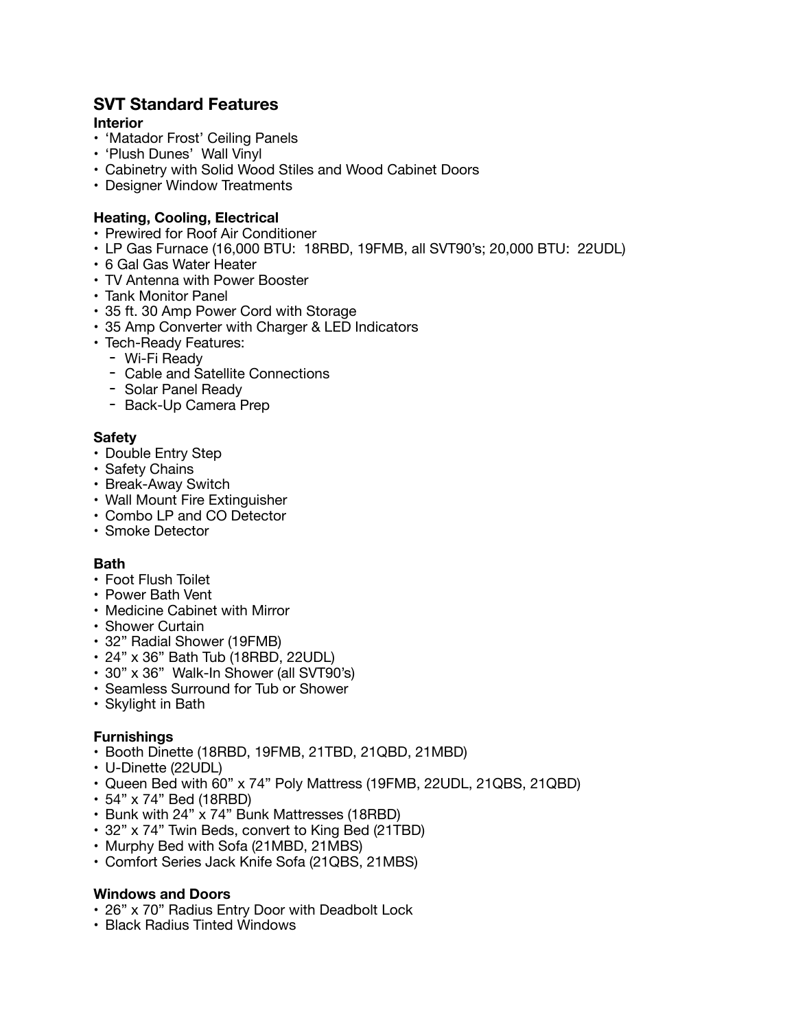# **SVT Standard Features**

#### **Interior**

- 'Matador Frost' Ceiling Panels
- 'Plush Dunes' Wall Vinyl
- Cabinetry with Solid Wood Stiles and Wood Cabinet Doors
- Designer Window Treatments

### **Heating, Cooling, Electrical**

- Prewired for Roof Air Conditioner
- LP Gas Furnace (16,000 BTU: 18RBD, 19FMB, all SVT90's; 20,000 BTU: 22UDL)
- 6 Gal Gas Water Heater
- TV Antenna with Power Booster
- Tank Monitor Panel
- 35 ft. 30 Amp Power Cord with Storage
- 35 Amp Converter with Charger & LED Indicators
- Tech-Ready Features:
	- Wi-Fi Ready
	- Cable and Satellite Connections
	- Solar Panel Ready
	- Back-Up Camera Prep

#### **Safety**

- Double Entry Step
- Safety Chains
- Break-Away Switch
- Wall Mount Fire Extinguisher
- Combo LP and CO Detector
- Smoke Detector

#### **Bath**

- Foot Flush Toilet
- Power Bath Vent
- Medicine Cabinet with Mirror
- Shower Curtain
- 32" Radial Shower (19FMB)
- 24" x 36" Bath Tub (18RBD, 22UDL)
- 30" x 36" Walk-In Shower (all SVT90's)
- Seamless Surround for Tub or Shower
- Skylight in Bath

#### **Furnishings**

- Booth Dinette (18RBD, 19FMB, 21TBD, 21QBD, 21MBD)
- U-Dinette (22UDL)
- Queen Bed with 60" x 74" Poly Mattress (19FMB, 22UDL, 21QBS, 21QBD)
- 54" x 74" Bed (18RBD)
- Bunk with 24" x 74" Bunk Mattresses (18RBD)
- 32" x 74" Twin Beds, convert to King Bed (21TBD)
- Murphy Bed with Sofa (21MBD, 21MBS)
- Comfort Series Jack Knife Sofa (21QBS, 21MBS)

#### **Windows and Doors**

- 26" x 70" Radius Entry Door with Deadbolt Lock
- Black Radius Tinted Windows